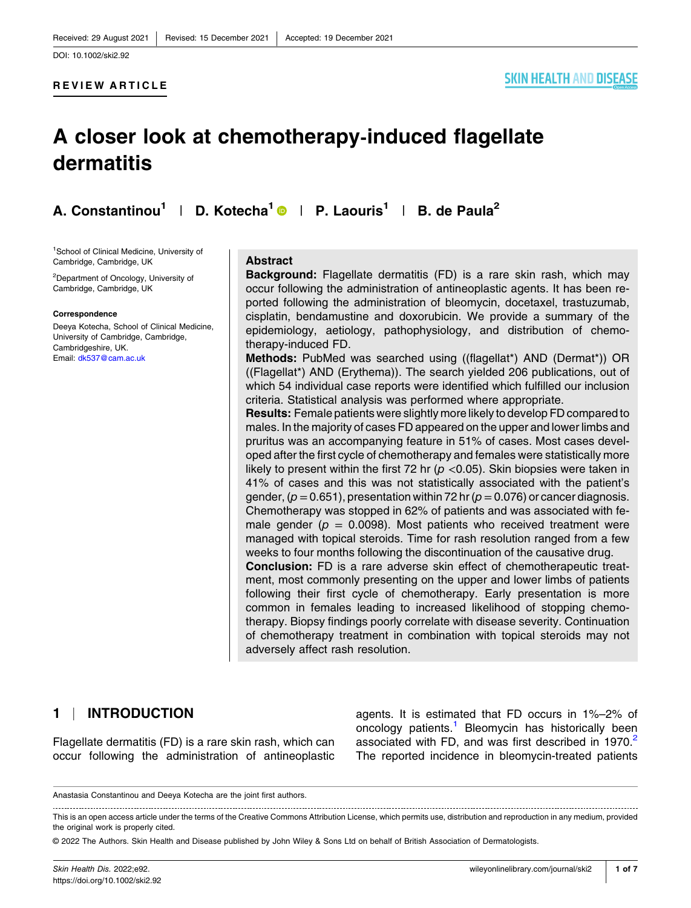#### **REVIEW ARTICLE**

#### **SKIN HEALTH AND DISEASE**

# **A closer look at chemotherapy‐induced flagellate dermatitis**

**A. Constantinou<sup>1</sup>** | **D. Kotecha<sup>1</sup>** | **P. Laouris1** | **B. de Paula<sup>2</sup>**

1 School of Clinical Medicine, University of Cambridge, Cambridge, UK

2 Department of Oncology, University of Cambridge, Cambridge, UK

#### **Correspondence**

Deeya Kotecha, School of Clinical Medicine, University of Cambridge, Cambridge, Cambridgeshire, UK. Email: [dk537@cam.ac.uk](mailto:dk537@cam.ac.uk)

#### **Abstract**

**Background:** Flagellate dermatitis (FD) is a rare skin rash, which may occur following the administration of antineoplastic agents. It has been reported following the administration of bleomycin, docetaxel, trastuzumab, cisplatin, bendamustine and doxorubicin. We provide a summary of the epidemiology, aetiology, pathophysiology, and distribution of chemotherapy‐induced FD.

**Methods:** PubMed was searched using ((flagellat\*) AND (Dermat\*)) OR ((Flagellat\*) AND (Erythema)). The search yielded 206 publications, out of which 54 individual case reports were identified which fulfilled our inclusion criteria. Statistical analysis was performed where appropriate.

**Results:** Female patients were slightly more likely to develop FD compared to males. In the majority of cases FD appeared on the upper and lower limbs and pruritus was an accompanying feature in 51% of cases. Most cases developed after the first cycle of chemotherapy and females were statistically more likely to present within the first 72 hr ( $p$  <0.05). Skin biopsies were taken in 41% of cases and this was not statistically associated with the patient's gender,  $(p=0.651)$ , presentation within 72 hr  $(p=0.076)$  or cancer diagnosis. Chemotherapy was stopped in 62% of patients and was associated with female gender ( $p = 0.0098$ ). Most patients who received treatment were managed with topical steroids. Time for rash resolution ranged from a few weeks to four months following the discontinuation of the causative drug.

**Conclusion:** FD is a rare adverse skin effect of chemotherapeutic treatment, most commonly presenting on the upper and lower limbs of patients following their first cycle of chemotherapy. Early presentation is more common in females leading to increased likelihood of stopping chemotherapy. Biopsy findings poorly correlate with disease severity. Continuation of chemotherapy treatment in combination with topical steroids may not adversely affect rash resolution.

#### **1** | **INTRODUCTION**

Flagellate dermatitis (FD) is a rare skin rash, which can occur following the administration of antineoplastic agents. It is estimated that FD occurs in 1%–2% of oncology patients.<sup>1</sup> Bleomycin has historically been associated with FD, and was first described in 1970.<sup>[2](#page-6-0)</sup> The reported incidence in bleomycin‐treated patients

Anastasia Constantinou and Deeya Kotecha are the joint first authors.

This is an open access article under the terms of the Creative Commons Attribution License, which permits use, distribution and reproduction in any medium, provided the original work is properly cited.

<sup>©</sup> 2022 The Authors. Skin Health and Disease published by John Wiley & Sons Ltd on behalf of British Association of Dermatologists.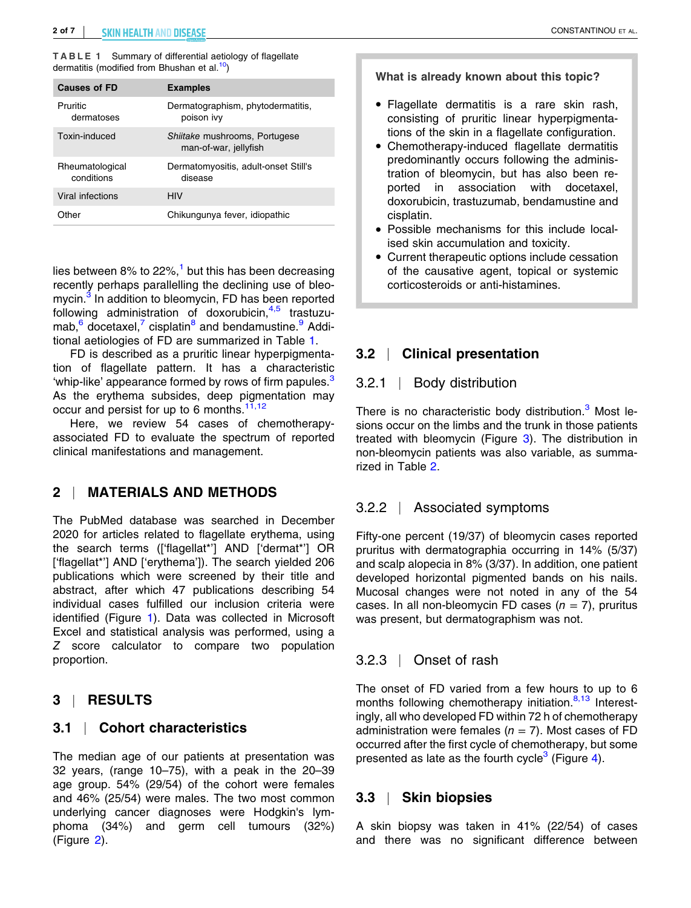**TABLE 1** Summary of differential aetiology of flagellate dermatitis (modified from Bhushan et al.<sup>[10](#page-6-0)</sup>)

| <b>Causes of FD</b>           | <b>Examples</b>                                        |
|-------------------------------|--------------------------------------------------------|
| Pruritic<br>dermatoses        | Dermatographism, phytodermatitis,<br>poison ivy        |
| Toxin-induced                 | Shiitake mushrooms, Portugese<br>man-of-war, jellyfish |
| Rheumatological<br>conditions | Dermatomyositis, adult-onset Still's<br>disease        |
| Viral infections              | HIV                                                    |
| Other                         | Chikungunya fever, idiopathic                          |

lies between 8% to 22%, $<sup>1</sup>$  $<sup>1</sup>$  $<sup>1</sup>$  but this has been decreasing</sup> recently perhaps parallelling the declining use of bleo-mycin.<sup>[3](#page-6-0)</sup> In addition to bleomycin, FD has been reported following administration of doxorubicin,  $4.5$  trastuzumab,  $6 \text{ docetaxel}$  $6 \text{ docetaxel}$ ,  $7 \text{ cisplatin}^8$  $7 \text{ cisplatin}^8$  $7 \text{ cisplatin}^8$  and bendamustine. Additional aetiologies of FD are summarized in Table 1.

FD is described as a pruritic linear hyperpigmentation of flagellate pattern. It has a characteristic 'whip-like' appearance formed by rows of firm papules.<sup>3</sup> As the erythema subsides, deep pigmentation may occur and persist for up to 6 months.<sup>[11,12](#page-6-0)</sup>

Here, we review 54 cases of chemotherapy‐ associated FD to evaluate the spectrum of reported clinical manifestations and management.

# **2** | **MATERIALS AND METHODS**

The PubMed database was searched in December 2020 for articles related to flagellate erythema, using the search terms (['flagellat\*'] AND ['dermat\*'] OR ['flagellat<sup>\*'</sup>] AND ['erythema']). The search yielded 206 publications which were screened by their title and abstract, after which 47 publications describing 54 individual cases fulfilled our inclusion criteria were identified (Figure [1](#page-2-0)). Data was collected in Microsoft Excel and statistical analysis was performed, using a *Z* score calculator to compare two population proportion.

# **3** | **RESULTS**

# **3.1** | **Cohort characteristics**

The median age of our patients at presentation was 32 years, (range 10–75), with a peak in the 20–39 age group. 54% (29/54) of the cohort were females and 46% (25/54) were males. The two most common underlying cancer diagnoses were Hodgkin's lymphoma (34%) and germ cell tumours (32%) (Figure [2](#page-2-0)).

**What is already known about this topic?**

- � Flagellate dermatitis is a rare skin rash, consisting of pruritic linear hyperpigmentations of the skin in a flagellate configuration.
- � Chemotherapy‐induced flagellate dermatitis predominantly occurs following the administration of bleomycin, but has also been reported in association with docetaxel, doxorubicin, trastuzumab, bendamustine and cisplatin.
- � Possible mechanisms for this include localised skin accumulation and toxicity.
- � Current therapeutic options include cessation of the causative agent, topical or systemic corticosteroids or anti‐histamines.

# **3.2** | **Clinical presentation**

#### 3.2.1 | Body distribution

There is no characteristic body distribution.<sup>3</sup> Most lesions occur on the limbs and the trunk in those patients treated with bleomycin (Figure [3](#page-3-0)). The distribution in non‐bleomycin patients was also variable, as summarized in Table [2](#page-3-0).

# 3.2.2 | Associated symptoms

Fifty-one percent (19/37) of bleomycin cases reported pruritus with dermatographia occurring in 14% (5/37) and scalp alopecia in 8% (3/37). In addition, one patient developed horizontal pigmented bands on his nails. Mucosal changes were not noted in any of the 54 cases. In all non‐bleomycin FD cases (*n* = 7), pruritus was present, but dermatographism was not.

# 3.2.3 | Onset of rash

The onset of FD varied from a few hours to up to 6 months following chemotherapy initiation.<sup>8,13</sup> Interestingly, all who developed FD within 72 h of chemotherapy administration were females  $(n = 7)$ . Most cases of FD occurred after the first cycle of chemotherapy, but some presented as late as the fourth cycle<sup>[3](#page-6-0)</sup> (Figure [4](#page-3-0)).

# **3.3** | **Skin biopsies**

A skin biopsy was taken in 41% (22/54) of cases and there was no significant difference between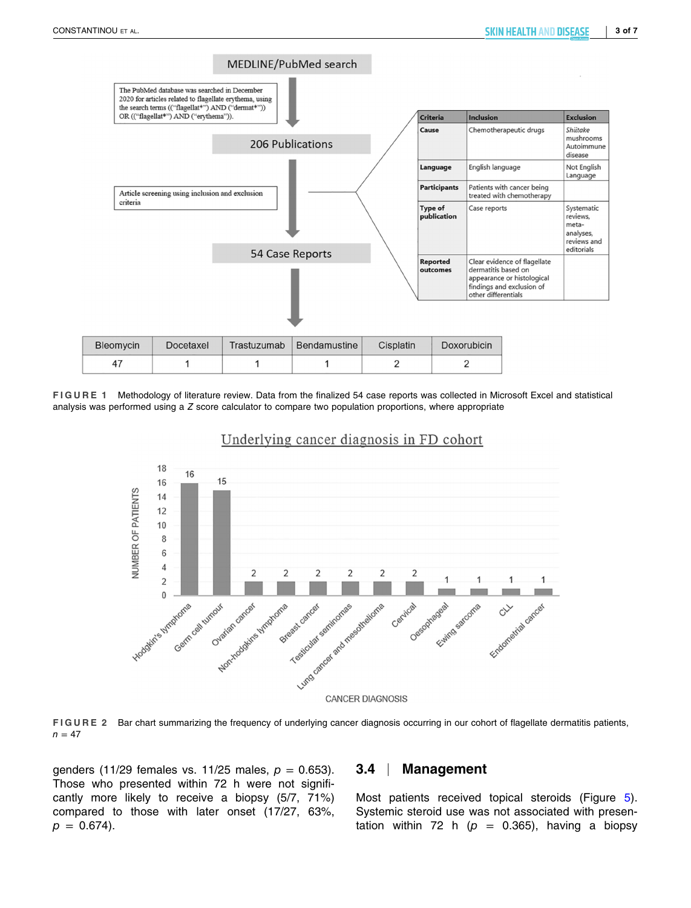<span id="page-2-0"></span>

**FIGURE 1** Methodology of literature review. Data from the finalized 54 case reports was collected in Microsoft Excel and statistical analysis was performed using a *Z* score calculator to compare two population proportions, where appropriate



#### Underlying cancer diagnosis in FD cohort

**FIGURE 2** Bar chart summarizing the frequency of underlying cancer diagnosis occurring in our cohort of flagellate dermatitis patients,  $n = 47$ 

genders (11/29 females vs. 11/25 males, *p* = 0.653). Those who presented within 72 h were not significantly more likely to receive a biopsy (5/7, 71%) compared to those with later onset (17/27, 63%,  $p = 0.674$ .

#### **3.4** | **Management**

Most patients received topical steroids (Figure [5\)](#page-4-0). Systemic steroid use was not associated with presentation within 72 h  $(p = 0.365)$ , having a biopsy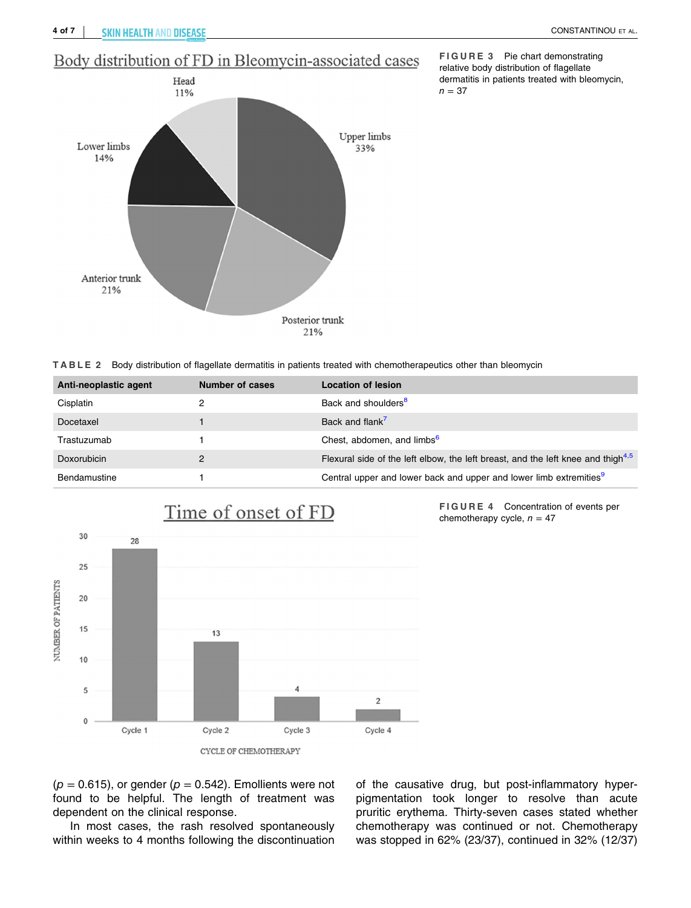**FIGURE 3** Pie chart demonstrating relative body distribution of flagellate dermatitis in patients treated with bleomycin,

 $n = 37$ 

# <span id="page-3-0"></span>Body distribution of FD in Bleomycin-associated cases



**TABLE 2** Body distribution of flagellate dermatitis in patients treated with chemotherapeutics other than bleomycin

| Anti-neoplastic agent | Number of cases | Location of lesion                                                                  |
|-----------------------|-----------------|-------------------------------------------------------------------------------------|
| Cisplatin             |                 | Back and shoulders <sup>8</sup>                                                     |
| Docetaxel             |                 | Back and flank <sup>7</sup>                                                         |
| Trastuzumab           |                 | Chest, abdomen, and limbs <sup>6</sup>                                              |
| Doxorubicin           | ົ               | Flexural side of the left elbow, the left breast, and the left knee and thigh $4.5$ |
| Bendamustine          |                 | Central upper and lower back and upper and lower limb extremities <sup>9</sup>      |



 $(p = 0.615)$ , or gender  $(p = 0.542)$ . Emollients were not found to be helpful. The length of treatment was dependent on the clinical response.

In most cases, the rash resolved spontaneously within weeks to 4 months following the discontinuation

of the causative drug, but post-inflammatory hyperpigmentation took longer to resolve than acute pruritic erythema. Thirty-seven cases stated whether chemotherapy was continued or not. Chemotherapy was stopped in 62% (23/37), continued in 32% (12/37)

**FIGURE 4** Concentration of events per

chemotherapy cycle,  $n = 47$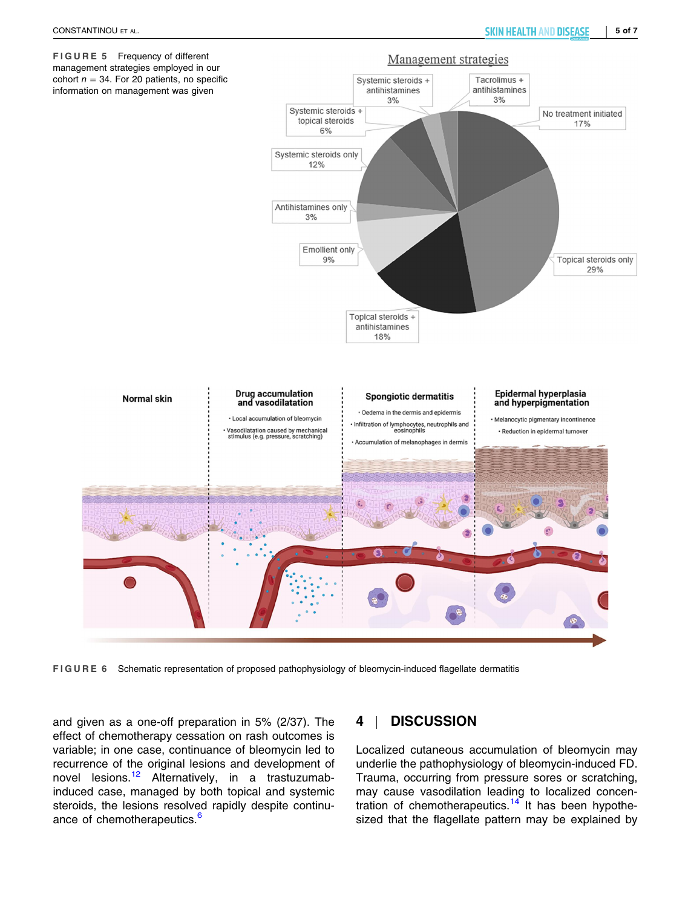<span id="page-4-0"></span>

**FIGURE 6** Schematic representation of proposed pathophysiology of bleomycin‐induced flagellate dermatitis

and given as a one‐off preparation in 5% (2/37). The effect of chemotherapy cessation on rash outcomes is variable; in one case, continuance of bleomycin led to recurrence of the original lesions and development of novel lesions.<sup>[12](#page-6-0)</sup> Alternatively, in a trastuzumabinduced case, managed by both topical and systemic steroids, the lesions resolved rapidly despite continu-ance of chemotherapeutics.<sup>[6](#page-6-0)</sup>

# **4** | **DISCUSSION**

Localized cutaneous accumulation of bleomycin may underlie the pathophysiology of bleomycin‐induced FD. Trauma, occurring from pressure sores or scratching, may cause vasodilation leading to localized concen-tration of chemotherapeutics.<sup>[14](#page-6-0)</sup> It has been hypothesized that the flagellate pattern may be explained by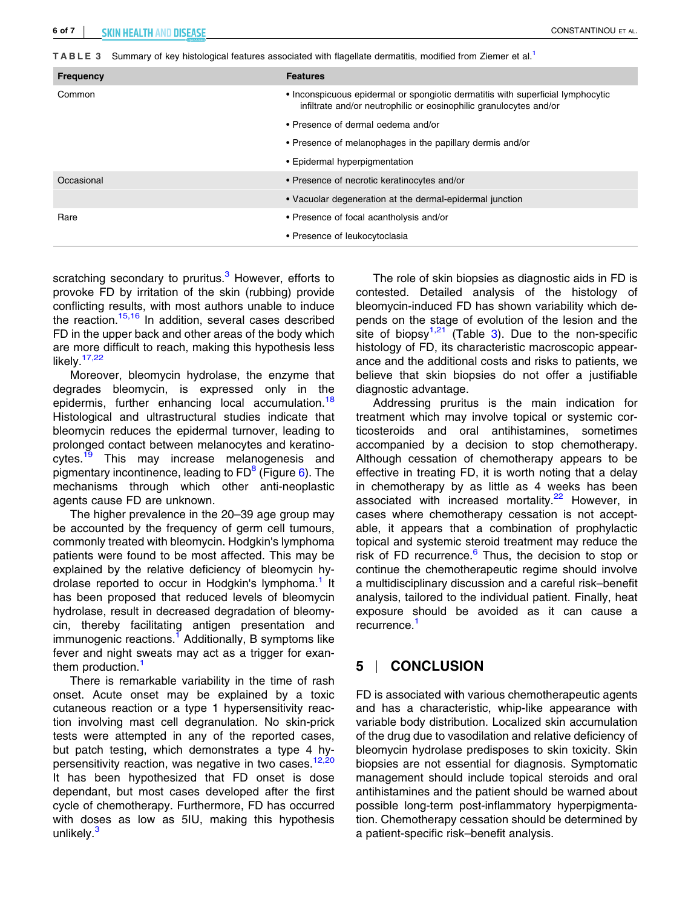| <b>Frequency</b> | <b>Features</b>                                                                                                                                       |
|------------------|-------------------------------------------------------------------------------------------------------------------------------------------------------|
| Common           | • Inconspicuous epidermal or spongiotic dermatitis with superficial lymphocytic<br>infiltrate and/or neutrophilic or eosinophilic granulocytes and/or |
|                  | • Presence of dermal oedema and/or                                                                                                                    |
|                  | • Presence of melanophages in the papillary dermis and/or                                                                                             |
|                  | • Epidermal hyperpigmentation                                                                                                                         |
| Occasional       | • Presence of necrotic keratinocytes and/or                                                                                                           |
|                  | • Vacuolar degeneration at the dermal-epidermal junction                                                                                              |
| Rare             | • Presence of focal acantholysis and/or                                                                                                               |
|                  | • Presence of leukocytoclasia                                                                                                                         |

scratching secondary to pruritus.<sup>[3](#page-6-0)</sup> However, efforts to provoke FD by irritation of the skin (rubbing) provide conflicting results, with most authors unable to induce the reaction.<sup>[15,16](#page-6-0)</sup> In addition, several cases described FD in the upper back and other areas of the body which are more difficult to reach, making this hypothesis less likely. $17,22$ 

Moreover, bleomycin hydrolase, the enzyme that degrades bleomycin, is expressed only in the epidermis, further enhancing local accumulation.<sup>18</sup> Histological and ultrastructural studies indicate that bleomycin reduces the epidermal turnover, leading to prolonged contact between melanocytes and keratino-cytes.<sup>[19](#page-6-0)</sup> This may increase melanogenesis and pigmentary incontinence, leading to  $FD^8$  $FD^8$  (Figure [6\)](#page-4-0). The mechanisms through which other anti-neoplastic agents cause FD are unknown.

The higher prevalence in the 20–39 age group may be accounted by the frequency of germ cell tumours, commonly treated with bleomycin. Hodgkin's lymphoma patients were found to be most affected. This may be explained by the relative deficiency of bleomycin hydrolase reported to occur in Hodgkin's lymphoma.<sup>1</sup> It has been proposed that reduced levels of bleomycin hydrolase, result in decreased degradation of bleomycin, thereby facilitating antigen presentation and immunogenic reactions.<sup>1</sup> Additionally, B symptoms like fever and night sweats may act as a trigger for exanthem production.<sup>1</sup>

There is remarkable variability in the time of rash onset. Acute onset may be explained by a toxic cutaneous reaction or a type 1 hypersensitivity reaction involving mast cell degranulation. No skin‐prick tests were attempted in any of the reported cases, but patch testing, which demonstrates a type 4 hy-persensitivity reaction, was negative in two cases.<sup>[12,20](#page-6-0)</sup> It has been hypothesized that FD onset is dose dependant, but most cases developed after the first cycle of chemotherapy. Furthermore, FD has occurred with doses as low as 5IU, making this hypothesis unlikely.<sup>[3](#page-6-0)</sup>

The role of skin biopsies as diagnostic aids in FD is contested. Detailed analysis of the histology of bleomycin‐induced FD has shown variability which depends on the stage of evolution of the lesion and the site of biopsy<sup>1,21</sup> (Table 3). Due to the non-specific histology of FD, its characteristic macroscopic appearance and the additional costs and risks to patients, we believe that skin biopsies do not offer a justifiable diagnostic advantage.

Addressing pruritus is the main indication for treatment which may involve topical or systemic corticosteroids and oral antihistamines, sometimes accompanied by a decision to stop chemotherapy. Although cessation of chemotherapy appears to be effective in treating FD, it is worth noting that a delay in chemotherapy by as little as 4 weeks has been associated with increased mortality.<sup>[22](#page-6-0)</sup> However, in cases where chemotherapy cessation is not acceptable, it appears that a combination of prophylactic topical and systemic steroid treatment may reduce the risk of FD recurrence. $6$  Thus, the decision to stop or continue the chemotherapeutic regime should involve a multidisciplinary discussion and a careful risk–benefit analysis, tailored to the individual patient. Finally, heat exposure should be avoided as it can cause a recurrence.<sup>1</sup>

# **5** | **CONCLUSION**

FD is associated with various chemotherapeutic agents and has a characteristic, whip‐like appearance with variable body distribution. Localized skin accumulation of the drug due to vasodilation and relative deficiency of bleomycin hydrolase predisposes to skin toxicity. Skin biopsies are not essential for diagnosis. Symptomatic management should include topical steroids and oral antihistamines and the patient should be warned about possible long‐term post‐inflammatory hyperpigmentation. Chemotherapy cessation should be determined by a patient‐specific risk–benefit analysis.